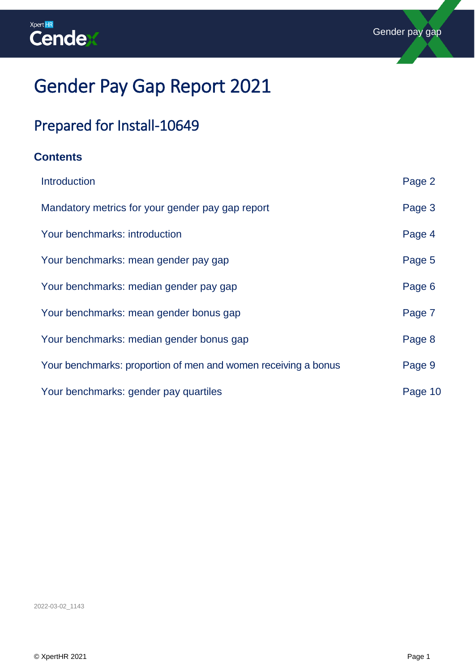

# Gender Pay Gap Report 2021

# Prepared for Install-10649

### **Contents**

| Introduction                                                   | Page 2  |
|----------------------------------------------------------------|---------|
| Mandatory metrics for your gender pay gap report               | Page 3  |
| Your benchmarks: introduction                                  | Page 4  |
| Your benchmarks: mean gender pay gap                           | Page 5  |
| Your benchmarks: median gender pay gap                         | Page 6  |
| Your benchmarks: mean gender bonus gap                         | Page 7  |
| Your benchmarks: median gender bonus gap                       | Page 8  |
| Your benchmarks: proportion of men and women receiving a bonus | Page 9  |
| Your benchmarks: gender pay quartiles                          | Page 10 |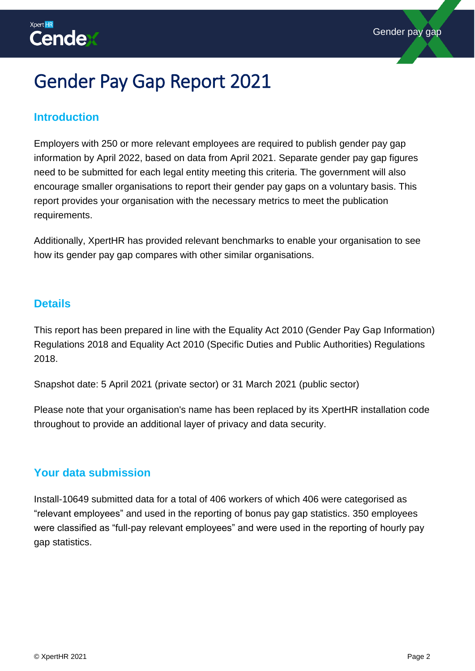# <span id="page-1-0"></span>Gender Pay Gap Report 2021

### **Introduction**

Employers with 250 or more relevant employees are required to publish gender pay gap information by April 2022, based on data from April 2021. Separate gender pay gap figures need to be submitted for each legal entity meeting this criteria. The government will also encourage smaller organisations to report their gender pay gaps on a voluntary basis. This report provides your organisation with the necessary metrics to meet the publication requirements.

Additionally, XpertHR has provided relevant benchmarks to enable your organisation to see how its gender pay gap compares with other similar organisations.

#### **Details**

This report has been prepared in line with the Equality Act 2010 (Gender Pay Gap Information) Regulations 2018 and Equality Act 2010 (Specific Duties and Public Authorities) Regulations 2018.

Snapshot date: 5 April 2021 (private sector) or 31 March 2021 (public sector)

Please note that your organisation's name has been replaced by its XpertHR installation code throughout to provide an additional layer of privacy and data security.

### **Your data submission**

Install-10649 submitted data for a total of 406 workers of which 406 were categorised as "relevant employees" and used in the reporting of bonus pay gap statistics. 350 employees were classified as "full-pay relevant employees" and were used in the reporting of hourly pay gap statistics.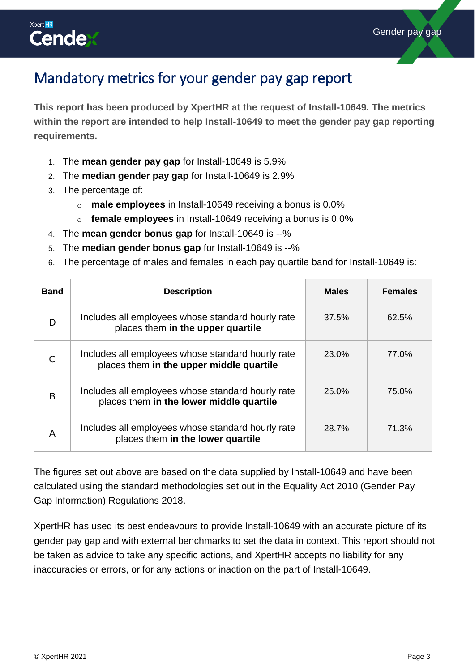

### <span id="page-2-0"></span>Mandatory metrics for your gender pay gap report

**This report has been produced by XpertHR at the request of Install-10649. The metrics within the report are intended to help Install-10649 to meet the gender pay gap reporting requirements.** 

- 1. The **mean gender pay gap** for Install-10649 is 5.9%
- 2. The **median gender pay gap** for Install-10649 is 2.9%
- 3. The percentage of:
	- o **male employees** in Install-10649 receiving a bonus is 0.0%
	- o **female employees** in Install-10649 receiving a bonus is 0.0%
- 4. The **mean gender bonus gap** for Install-10649 is --%
- 5. The **median gender bonus gap** for Install-10649 is --%
- 6. The percentage of males and females in each pay quartile band for Install-10649 is:

| <b>Band</b> | <b>Description</b>                                                                            | <b>Males</b> | <b>Females</b> |
|-------------|-----------------------------------------------------------------------------------------------|--------------|----------------|
| D           | Includes all employees whose standard hourly rate<br>places them in the upper quartile        | 37.5%        | 62.5%          |
| C           | Includes all employees whose standard hourly rate<br>places them in the upper middle quartile | <b>23.0%</b> | 77.0%          |
| B           | Includes all employees whose standard hourly rate<br>places them in the lower middle quartile | 25.0%        | 75.0%          |
| A           | Includes all employees whose standard hourly rate<br>places them in the lower quartile        | <b>28.7%</b> | 71.3%          |

The figures set out above are based on the data supplied by Install-10649 and have been calculated using the standard methodologies set out in the Equality Act 2010 (Gender Pay Gap Information) Regulations 2018.

XpertHR has used its best endeavours to provide Install-10649 with an accurate picture of its gender pay gap and with external benchmarks to set the data in context. This report should not be taken as advice to take any specific actions, and XpertHR accepts no liability for any inaccuracies or errors, or for any actions or inaction on the part of Install-10649.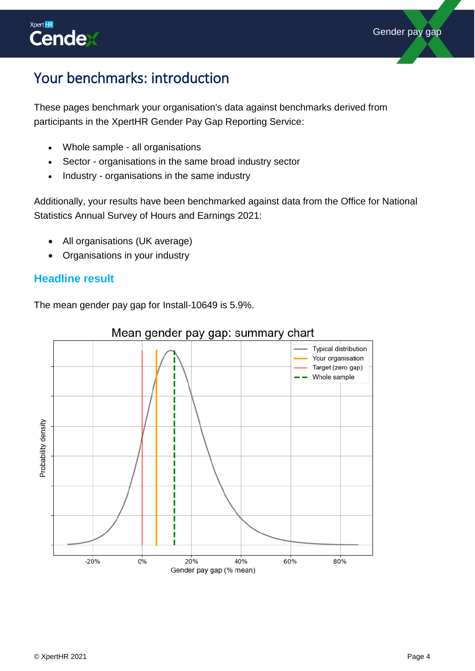

### <span id="page-3-0"></span>Your benchmarks: introduction

These pages benchmark your organisation's data against benchmarks derived from participants in the XpertHR Gender Pay Gap Reporting Service:

- Whole sample all organisations
- Sector organisations in the same broad industry sector
- Industry organisations in the same industry

Additionally, your results have been benchmarked against data from the Office for National Statistics Annual Survey of Hours and Earnings 2021:

- All organisations (UK average)
- Organisations in your industry

### **Headline result**

The mean gender pay gap for Install-10649 is 5.9%.



### Mean gender pay gap: summary chart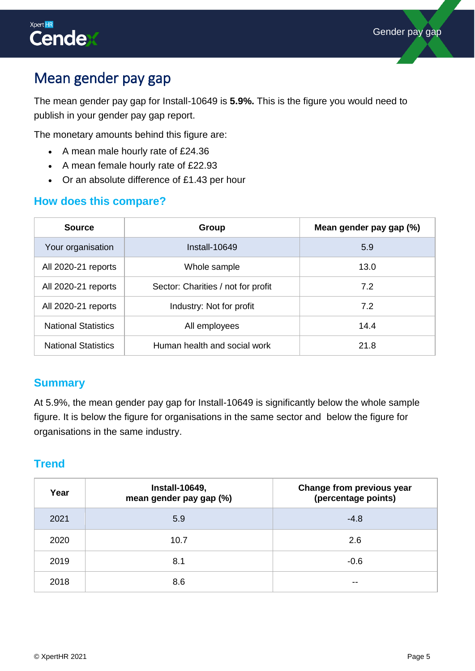

### <span id="page-4-0"></span>Mean gender pay gap

The mean gender pay gap for Install-10649 is **5.9%.** This is the figure you would need to publish in your gender pay gap report.

The monetary amounts behind this figure are:

- A mean male hourly rate of £24.36
- A mean female hourly rate of £22.93
- Or an absolute difference of £1.43 per hour

### **How does this compare?**

| <b>Source</b>              | Group                              | Mean gender pay gap (%) |
|----------------------------|------------------------------------|-------------------------|
| Your organisation          | Install-10649                      | 5.9                     |
| All 2020-21 reports        | Whole sample                       | 13.0                    |
| All 2020-21 reports        | Sector: Charities / not for profit | 7.2                     |
| All 2020-21 reports        | Industry: Not for profit           | 7.2                     |
| <b>National Statistics</b> | All employees                      | 14.4                    |
| <b>National Statistics</b> | Human health and social work       | 21.8                    |

#### **Summary**

At 5.9%, the mean gender pay gap for Install-10649 is significantly below the whole sample figure. It is below the figure for organisations in the same sector and below the figure for organisations in the same industry.

<span id="page-4-1"></span>

| Year | <b>Install-10649,</b><br>mean gender pay gap (%) | Change from previous year<br>(percentage points) |
|------|--------------------------------------------------|--------------------------------------------------|
| 2021 | 5.9                                              | $-4.8$                                           |
| 2020 | 10.7                                             | 2.6                                              |
| 2019 | 8.1                                              | $-0.6$                                           |
| 2018 | 8.6                                              | --                                               |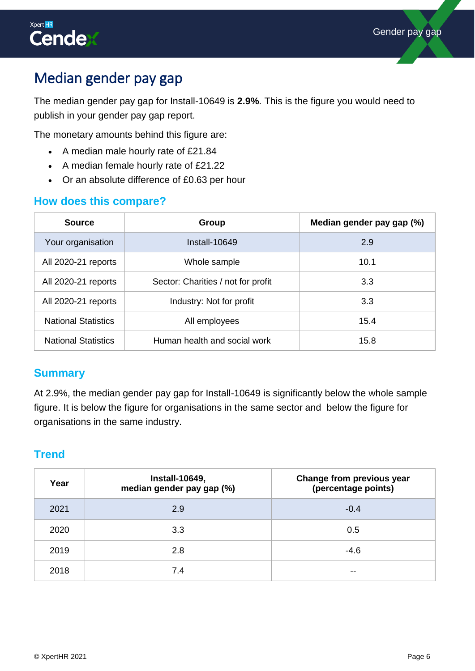## Median gender pay gap

The median gender pay gap for Install-10649 is **2.9%**. This is the figure you would need to publish in your gender pay gap report.

The monetary amounts behind this figure are:

- A median male hourly rate of £21.84
- A median female hourly rate of £21.22
- Or an absolute difference of £0.63 per hour

### **How does this compare?**

| <b>Source</b>              | Group                              | Median gender pay gap (%) |
|----------------------------|------------------------------------|---------------------------|
| Your organisation          | Install-10649                      | 2.9                       |
| All 2020-21 reports        | Whole sample                       | 10.1                      |
| All 2020-21 reports        | Sector: Charities / not for profit | 3.3                       |
| All 2020-21 reports        | Industry: Not for profit           | 3.3                       |
| <b>National Statistics</b> | All employees                      | 15.4                      |
| <b>National Statistics</b> | Human health and social work       | 15.8                      |

### **Summary**

At 2.9%, the median gender pay gap for Install-10649 is significantly below the whole sample figure. It is below the figure for organisations in the same sector and below the figure for organisations in the same industry.

<span id="page-5-0"></span>

| Year | <b>Install-10649,</b><br>median gender pay gap (%) | Change from previous year<br>(percentage points) |
|------|----------------------------------------------------|--------------------------------------------------|
| 2021 | 2.9                                                | $-0.4$                                           |
| 2020 | 3.3                                                | 0.5                                              |
| 2019 | 2.8                                                | $-4.6$                                           |
| 2018 | 7.4                                                | --                                               |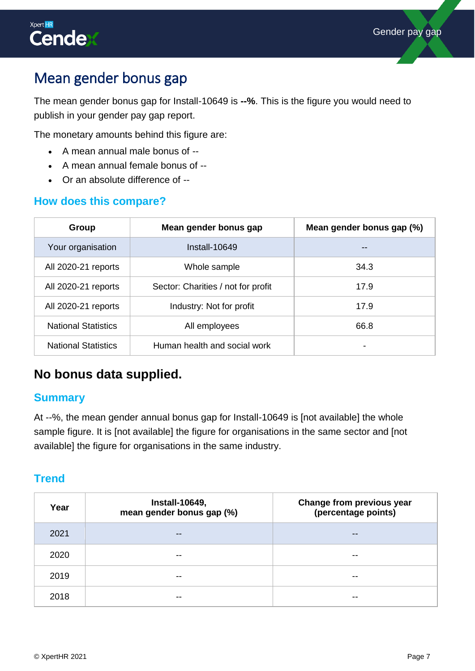

### Mean gender bonus gap

The mean gender bonus gap for Install-10649 is **--%**. This is the figure you would need to publish in your gender pay gap report.

The monetary amounts behind this figure are:

- A mean annual male bonus of --
- A mean annual female bonus of --
- Or an absolute difference of --

### **How does this compare?**

| Group                      | Mean gender bonus gap              | Mean gender bonus gap (%) |
|----------------------------|------------------------------------|---------------------------|
| Your organisation          | Install-10649                      |                           |
| All 2020-21 reports        | Whole sample                       | 34.3                      |
| All 2020-21 reports        | Sector: Charities / not for profit | 17.9                      |
| All 2020-21 reports        | Industry: Not for profit           | 17.9                      |
| <b>National Statistics</b> | All employees                      | 66.8                      |
| <b>National Statistics</b> | Human health and social work       | -                         |

### **No bonus data supplied.**

### **Summary**

At --%, the mean gender annual bonus gap for Install-10649 is [not available] the whole sample figure. It is [not available] the figure for organisations in the same sector and [not available] the figure for organisations in the same industry.

<span id="page-6-0"></span>

| Year | <b>Install-10649,</b><br>mean gender bonus gap (%) | Change from previous year<br>(percentage points) |
|------|----------------------------------------------------|--------------------------------------------------|
| 2021 | $\qquad \qquad \cdots$                             | $\qquad \qquad \blacksquare$                     |
| 2020 | $- -$                                              | --                                               |
| 2019 | $- -$                                              | --                                               |
| 2018 | --                                                 | --                                               |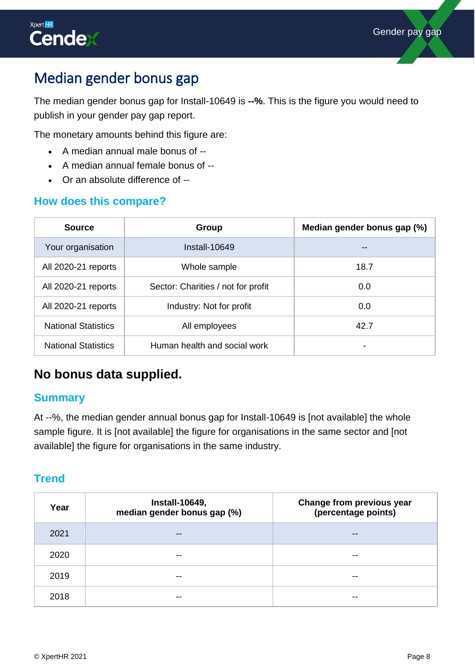

### Median gender bonus gap

The median gender bonus gap for Install-10649 is **--%**. This is the figure you would need to publish in your gender pay gap report.

The monetary amounts behind this figure are:

- A median annual male bonus of --
- A median annual female bonus of --
- Or an absolute difference of --

### **How does this compare?**

| <b>Source</b>              | Group                              | Median gender bonus gap (%) |
|----------------------------|------------------------------------|-----------------------------|
| Your organisation          | Install-10649                      |                             |
| All 2020-21 reports        | Whole sample                       | 18.7                        |
| All 2020-21 reports        | Sector: Charities / not for profit | 0.0                         |
| All 2020-21 reports        | Industry: Not for profit           | 0.0                         |
| <b>National Statistics</b> | All employees                      | 42.7                        |
| <b>National Statistics</b> | Human health and social work       | -                           |

### **No bonus data supplied.**

### **Summary**

At --%, the median gender annual bonus gap for Install-10649 is [not available] the whole sample figure. It is [not available] the figure for organisations in the same sector and [not available] the figure for organisations in the same industry.

<span id="page-7-0"></span>

| Year | <b>Install-10649,</b><br>median gender bonus gap (%) | Change from previous year<br>(percentage points) |
|------|------------------------------------------------------|--------------------------------------------------|
| 2021 | $- -$                                                | $- -$                                            |
| 2020 | $- -$                                                | $- -$                                            |
| 2019 | --                                                   | $- -$                                            |
| 2018 | --                                                   | --                                               |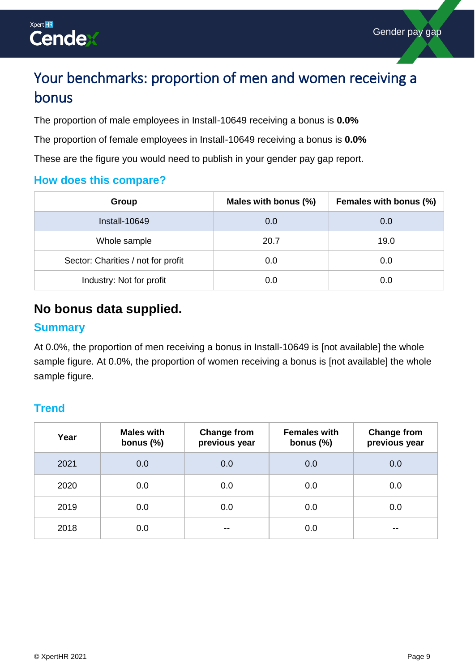

## Your benchmarks: proportion of men and women receiving a bonus

The proportion of male employees in Install-10649 receiving a bonus is **0.0%**

The proportion of female employees in Install-10649 receiving a bonus is **0.0%**

These are the figure you would need to publish in your gender pay gap report.

### **How does this compare?**

| Group                              | Males with bonus (%) | Females with bonus (%) |
|------------------------------------|----------------------|------------------------|
| $Install-10649$                    | 0.0                  | 0.0                    |
| Whole sample                       | 20.7                 | 19.0                   |
| Sector: Charities / not for profit | 0.0                  | 0.0                    |
| Industry: Not for profit           | 0.0                  | 0.0                    |

### **No bonus data supplied.**

### **Summary**

At 0.0%, the proportion of men receiving a bonus in Install-10649 is [not available] the whole sample figure. At 0.0%, the proportion of women receiving a bonus is [not available] the whole sample figure.

<span id="page-8-0"></span>

| Year | <b>Males with</b><br>bonus $(\%)$ | <b>Change from</b><br>previous year | <b>Females with</b><br>bonus $(\%)$ | <b>Change from</b><br>previous year |
|------|-----------------------------------|-------------------------------------|-------------------------------------|-------------------------------------|
| 2021 | 0.0                               | 0.0                                 | 0.0                                 | 0.0                                 |
| 2020 | 0.0                               | 0.0                                 | 0.0                                 | 0.0                                 |
| 2019 | 0.0                               | 0.0                                 | 0.0                                 | 0.0                                 |
| 2018 | 0.0                               | $- -$                               | 0.0                                 | $- -$                               |